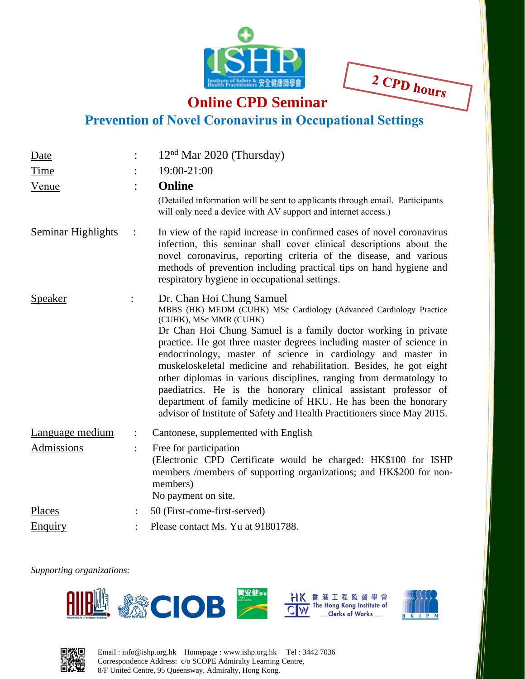

2 CPD hours

**Online CPD Seminar**

**Prevention of Novel Coronavirus in Occupational Settings**

| <b>Date</b>               |                      | $12nd$ Mar 2020 (Thursday)                                                                                                                                                                                                                                                                                                                                                                                                                                                                                                                                                                                                                                                                      |
|---------------------------|----------------------|-------------------------------------------------------------------------------------------------------------------------------------------------------------------------------------------------------------------------------------------------------------------------------------------------------------------------------------------------------------------------------------------------------------------------------------------------------------------------------------------------------------------------------------------------------------------------------------------------------------------------------------------------------------------------------------------------|
| Time                      |                      | 19:00-21:00                                                                                                                                                                                                                                                                                                                                                                                                                                                                                                                                                                                                                                                                                     |
| Venue                     |                      | Online<br>(Detailed information will be sent to applicants through email. Participants<br>will only need a device with AV support and internet access.)                                                                                                                                                                                                                                                                                                                                                                                                                                                                                                                                         |
| <b>Seminar Highlights</b> | $\vdots$             | In view of the rapid increase in confirmed cases of novel coronavirus<br>infection, this seminar shall cover clinical descriptions about the<br>novel coronavirus, reporting criteria of the disease, and various<br>methods of prevention including practical tips on hand hygiene and<br>respiratory hygiene in occupational settings.                                                                                                                                                                                                                                                                                                                                                        |
| Speaker                   |                      | Dr. Chan Hoi Chung Samuel<br>MBBS (HK) MEDM (CUHK) MSc Cardiology (Advanced Cardiology Practice<br>(CUHK), MSc MMR (CUHK)<br>Dr Chan Hoi Chung Samuel is a family doctor working in private<br>practice. He got three master degrees including master of science in<br>endocrinology, master of science in cardiology and master in<br>muskeloskeletal medicine and rehabilitation. Besides, he got eight<br>other diplomas in various disciplines, ranging from dermatology to<br>paediatrics. He is the honorary clinical assistant professor of<br>department of family medicine of HKU. He has been the honorary<br>advisor of Institute of Safety and Health Practitioners since May 2015. |
| Language medium           | $\ddot{\cdot}$       | Cantonese, supplemented with English                                                                                                                                                                                                                                                                                                                                                                                                                                                                                                                                                                                                                                                            |
| Admissions                | $\ddot{\phantom{a}}$ | Free for participation<br>(Electronic CPD Certificate would be charged: HK\$100 for ISHP<br>members /members of supporting organizations; and HK\$200 for non-<br>members)<br>No payment on site.                                                                                                                                                                                                                                                                                                                                                                                                                                                                                               |
| <b>Places</b>             |                      | 50 (First-come-first-served)                                                                                                                                                                                                                                                                                                                                                                                                                                                                                                                                                                                                                                                                    |
| <b>Enquiry</b>            |                      | Please contact Ms. Yu at 91801788.                                                                                                                                                                                                                                                                                                                                                                                                                                                                                                                                                                                                                                                              |

*Supporting organizations:*







Email : info@ishp.org.hk Homepage : www.ishp.org.hk Tel : 3442 7036 Correspondence Address: c/o SCOPE Admiralty Learning Centre, 8/F United Centre, 95 Queensway, Admiralty, Hong Kong.